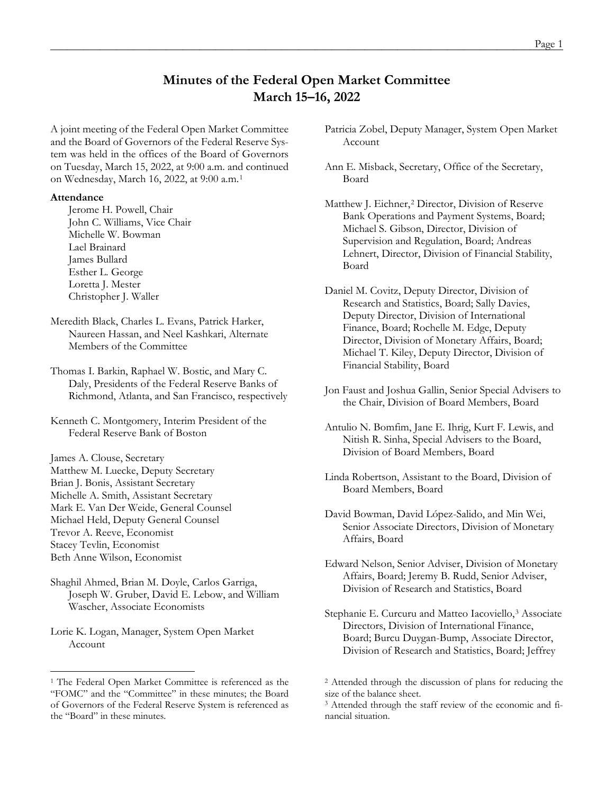# **Minutes of the Federal Open Market Committee March 15–16, 2022**

A joint meeting of the Federal Open Market Committee and the Board of Governors of the Federal Reserve System was held in the offices of the Board of Governors on Tuesday, March 15, 2022, at 9:00 a.m. and continued on Wednesday, March 16, 2022, at 9:00 a.m.[1](#page-0-0)

#### **Attendance**

Jerome H. Powell, Chair John C. Williams, Vice Chair Michelle W. Bowman Lael Brainard James Bullard Esther L. George Loretta J. Mester Christopher J. Waller

Meredith Black, Charles L. Evans, Patrick Harker, Naureen Hassan, and Neel Kashkari, Alternate Members of the Committee

Thomas I. Barkin, Raphael W. Bostic, and Mary C. Daly, Presidents of the Federal Reserve Banks of Richmond, Atlanta, and San Francisco, respectively

Kenneth C. Montgomery, Interim President of the Federal Reserve Bank of Boston

James A. Clouse, Secretary Matthew M. Luecke, Deputy Secretary Brian J. Bonis, Assistant Secretary Michelle A. Smith, Assistant Secretary Mark E. Van Der Weide, General Counsel Michael Held, Deputy General Counsel Trevor A. Reeve, Economist Stacey Tevlin, Economist Beth Anne Wilson, Economist

Shaghil Ahmed, Brian M. Doyle, Carlos Garriga, Joseph W. Gruber, David E. Lebow, and William Wascher, Associate Economists

Lorie K. Logan, Manager, System Open Market Account

Patricia Zobel, Deputy Manager, System Open Market Account

Ann E. Misback, Secretary, Office of the Secretary, Board

Matthew J. Eichner,<sup>[2](#page-0-0)</sup> Director, Division of Reserve Bank Operations and Payment Systems, Board; Michael S. Gibson, Director, Division of Supervision and Regulation, Board; Andreas Lehnert, Director, Division of Financial Stability, Board

Daniel M. Covitz, Deputy Director, Division of Research and Statistics, Board; Sally Davies, Deputy Director, Division of International Finance, Board; Rochelle M. Edge, Deputy Director, Division of Monetary Affairs, Board; Michael T. Kiley, Deputy Director, Division of Financial Stability, Board

- Jon Faust and Joshua Gallin, Senior Special Advisers to the Chair, Division of Board Members, Board
- Antulio N. Bomfim, Jane E. Ihrig, Kurt F. Lewis, and Nitish R. Sinha, Special Advisers to the Board, Division of Board Members, Board
- Linda Robertson, Assistant to the Board, Division of Board Members, Board
- David Bowman, David López-Salido, and Min Wei, Senior Associate Directors, Division of Monetary Affairs, Board

Edward Nelson, Senior Adviser, Division of Monetary Affairs, Board; Jeremy B. Rudd, Senior Adviser, Division of Research and Statistics, Board

Stephanie E. Curcuru and Matteo Iacoviello,<sup>[3](#page-0-1)</sup> Associate Directors, Division of International Finance, Board; Burcu Duygan-Bump, Associate Director, Division of Research and Statistics, Board; Jeffrey

<span id="page-0-1"></span><span id="page-0-0"></span><sup>&</sup>lt;sup>1</sup> The Federal Open Market Committee is referenced as the "FOMC" and the "Committee" in these minutes; the Board of Governors of the Federal Reserve System is referenced as the "Board" in these minutes.

<sup>2</sup> Attended through the discussion of plans for reducing the size of the balance sheet.

<sup>3</sup> Attended through the staff review of the economic and financial situation.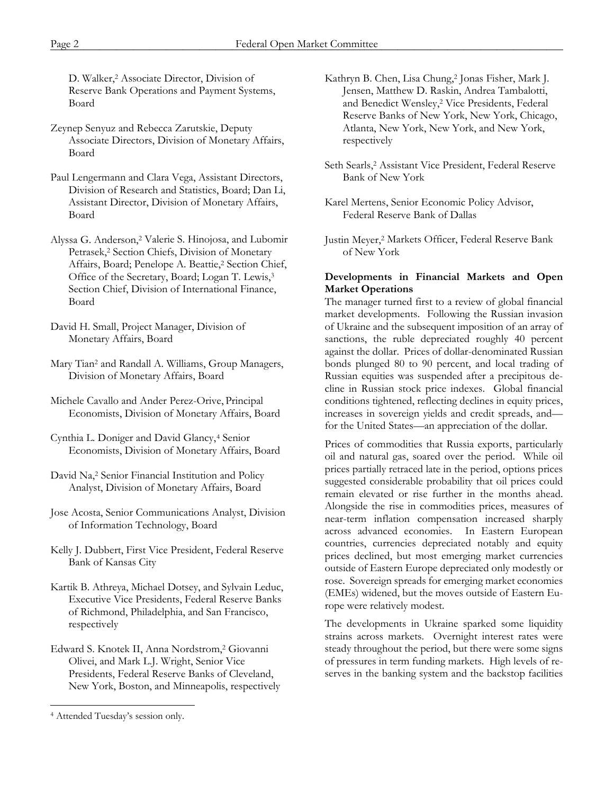D. Walker,2 Associate Director, Division of Reserve Bank Operations and Payment Systems, Board

- Zeynep Senyuz and Rebecca Zarutskie, Deputy Associate Directors, Division of Monetary Affairs, Board
- Paul Lengermann and Clara Vega, Assistant Directors, Division of Research and Statistics, Board; Dan Li, Assistant Director, Division of Monetary Affairs, Board
- Alyssa G. Anderson,2 Valerie S. Hinojosa, and Lubomir Petrasek,2 Section Chiefs, Division of Monetary Affairs, Board; Penelope A. Beattie,<sup>2</sup> Section Chief, Office of the Secretary, Board; Logan T. Lewis,3 Section Chief, Division of International Finance, Board
- David H. Small, Project Manager, Division of Monetary Affairs, Board
- Mary Tian2 and Randall A. Williams, Group Managers, Division of Monetary Affairs, Board
- Michele Cavallo and Ander Perez-Orive, Principal Economists, Division of Monetary Affairs, Board
- Cynthia L. Doniger and David Glancy,<sup>[4](#page-1-0)</sup> Senior Economists, Division of Monetary Affairs, Board
- David Na,2 Senior Financial Institution and Policy Analyst, Division of Monetary Affairs, Board
- Jose Acosta, Senior Communications Analyst, Division of Information Technology, Board
- Kelly J. Dubbert, First Vice President, Federal Reserve Bank of Kansas City
- Kartik B. Athreya, Michael Dotsey, and Sylvain Leduc, Executive Vice Presidents, Federal Reserve Banks of Richmond, Philadelphia, and San Francisco, respectively
- Edward S. Knotek II, Anna Nordstrom,2 Giovanni Olivei, and Mark L.J. Wright, Senior Vice Presidents, Federal Reserve Banks of Cleveland, New York, Boston, and Minneapolis, respectively
- Kathryn B. Chen, Lisa Chung,2 Jonas Fisher, Mark J. Jensen, Matthew D. Raskin, Andrea Tambalotti, and Benedict Wensley,2 Vice Presidents, Federal Reserve Banks of New York, New York, Chicago, Atlanta, New York, New York, and New York, respectively
- Seth Searls,<sup>2</sup> Assistant Vice President, Federal Reserve Bank of New York
- Karel Mertens, Senior Economic Policy Advisor, Federal Reserve Bank of Dallas
- Justin Meyer,2 Markets Officer, Federal Reserve Bank of New York

### **Developments in Financial Markets and Open Market Operations**

The manager turned first to a review of global financial market developments. Following the Russian invasion of Ukraine and the subsequent imposition of an array of sanctions, the ruble depreciated roughly 40 percent against the dollar. Prices of dollar-denominated Russian bonds plunged 80 to 90 percent, and local trading of Russian equities was suspended after a precipitous decline in Russian stock price indexes. Global financial conditions tightened, reflecting declines in equity prices, increases in sovereign yields and credit spreads, and for the United States—an appreciation of the dollar.

Prices of commodities that Russia exports, particularly oil and natural gas, soared over the period. While oil prices partially retraced late in the period, options prices suggested considerable probability that oil prices could remain elevated or rise further in the months ahead. Alongside the rise in commodities prices, measures of near-term inflation compensation increased sharply across advanced economies. In Eastern European countries, currencies depreciated notably and equity prices declined, but most emerging market currencies outside of Eastern Europe depreciated only modestly or rose. Sovereign spreads for emerging market economies (EMEs) widened, but the moves outside of Eastern Europe were relatively modest.

The developments in Ukraine sparked some liquidity strains across markets. Overnight interest rates were steady throughout the period, but there were some signs of pressures in term funding markets. High levels of reserves in the banking system and the backstop facilities

<span id="page-1-0"></span><sup>4</sup> Attended Tuesday's session only.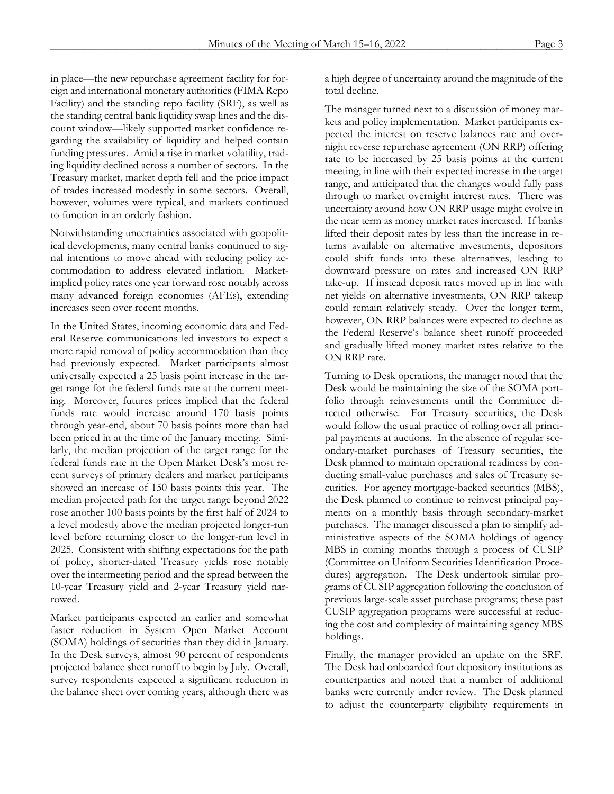in place—the new repurchase agreement facility for foreign and international monetary authorities (FIMA Repo Facility) and the standing repo facility (SRF), as well as the standing central bank liquidity swap lines and the discount window—likely supported market confidence regarding the availability of liquidity and helped contain funding pressures. Amid a rise in market volatility, trading liquidity declined across a number of sectors. In the Treasury market, market depth fell and the price impact of trades increased modestly in some sectors. Overall, however, volumes were typical, and markets continued to function in an orderly fashion.

Notwithstanding uncertainties associated with geopolitical developments, many central banks continued to signal intentions to move ahead with reducing policy accommodation to address elevated inflation. Marketimplied policy rates one year forward rose notably across many advanced foreign economies (AFEs), extending increases seen over recent months.

In the United States, incoming economic data and Federal Reserve communications led investors to expect a more rapid removal of policy accommodation than they had previously expected. Market participants almost universally expected a 25 basis point increase in the target range for the federal funds rate at the current meeting. Moreover, futures prices implied that the federal funds rate would increase around 170 basis points through year-end, about 70 basis points more than had been priced in at the time of the January meeting. Similarly, the median projection of the target range for the federal funds rate in the Open Market Desk's most recent surveys of primary dealers and market participants showed an increase of 150 basis points this year. The median projected path for the target range beyond 2022 rose another 100 basis points by the first half of 2024 to a level modestly above the median projected longer-run level before returning closer to the longer-run level in 2025. Consistent with shifting expectations for the path of policy, shorter-dated Treasury yields rose notably over the intermeeting period and the spread between the 10-year Treasury yield and 2-year Treasury yield narrowed.

Market participants expected an earlier and somewhat faster reduction in System Open Market Account (SOMA) holdings of securities than they did in January. In the Desk surveys, almost 90 percent of respondents projected balance sheet runoff to begin by July. Overall, survey respondents expected a significant reduction in the balance sheet over coming years, although there was a high degree of uncertainty around the magnitude of the total decline.

The manager turned next to a discussion of money markets and policy implementation. Market participants expected the interest on reserve balances rate and overnight reverse repurchase agreement (ON RRP) offering rate to be increased by 25 basis points at the current meeting, in line with their expected increase in the target range, and anticipated that the changes would fully pass through to market overnight interest rates. There was uncertainty around how ON RRP usage might evolve in the near term as money market rates increased. If banks lifted their deposit rates by less than the increase in returns available on alternative investments, depositors could shift funds into these alternatives, leading to downward pressure on rates and increased ON RRP take-up. If instead deposit rates moved up in line with net yields on alternative investments, ON RRP takeup could remain relatively steady. Over the longer term, however, ON RRP balances were expected to decline as the Federal Reserve's balance sheet runoff proceeded and gradually lifted money market rates relative to the ON RRP rate.

Turning to Desk operations, the manager noted that the Desk would be maintaining the size of the SOMA portfolio through reinvestments until the Committee directed otherwise. For Treasury securities, the Desk would follow the usual practice of rolling over all principal payments at auctions. In the absence of regular secondary-market purchases of Treasury securities, the Desk planned to maintain operational readiness by conducting small-value purchases and sales of Treasury securities. For agency mortgage-backed securities (MBS), the Desk planned to continue to reinvest principal payments on a monthly basis through secondary-market purchases. The manager discussed a plan to simplify administrative aspects of the SOMA holdings of agency MBS in coming months through a process of CUSIP (Committee on Uniform Securities Identification Procedures) aggregation. The Desk undertook similar programs of CUSIP aggregation following the conclusion of previous large-scale asset purchase programs; these past CUSIP aggregation programs were successful at reducing the cost and complexity of maintaining agency MBS holdings.

Finally, the manager provided an update on the SRF. The Desk had onboarded four depository institutions as counterparties and noted that a number of additional banks were currently under review. The Desk planned to adjust the counterparty eligibility requirements in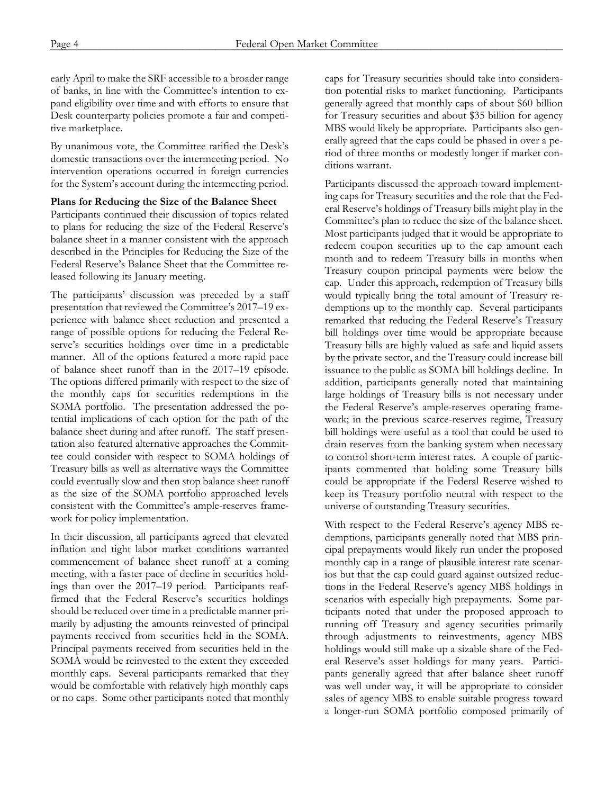early April to make the SRF accessible to a broader range of banks, in line with the Committee's intention to expand eligibility over time and with efforts to ensure that Desk counterparty policies promote a fair and competitive marketplace.

By unanimous vote, the Committee ratified the Desk's domestic transactions over the intermeeting period. No intervention operations occurred in foreign currencies for the System's account during the intermeeting period.

#### **Plans for Reducing the Size of the Balance Sheet**

Participants continued their discussion of topics related to plans for reducing the size of the Federal Reserve's balance sheet in a manner consistent with the approach described in the Principles for Reducing the Size of the Federal Reserve's Balance Sheet that the Committee released following its January meeting.

The participants' discussion was preceded by a staff presentation that reviewed the Committee's 2017–19 experience with balance sheet reduction and presented a range of possible options for reducing the Federal Reserve's securities holdings over time in a predictable manner. All of the options featured a more rapid pace of balance sheet runoff than in the 2017–19 episode. The options differed primarily with respect to the size of the monthly caps for securities redemptions in the SOMA portfolio. The presentation addressed the potential implications of each option for the path of the balance sheet during and after runoff. The staff presentation also featured alternative approaches the Committee could consider with respect to SOMA holdings of Treasury bills as well as alternative ways the Committee could eventually slow and then stop balance sheet runoff as the size of the SOMA portfolio approached levels consistent with the Committee's ample-reserves framework for policy implementation.

In their discussion, all participants agreed that elevated inflation and tight labor market conditions warranted commencement of balance sheet runoff at a coming meeting, with a faster pace of decline in securities holdings than over the 2017–19 period. Participants reaffirmed that the Federal Reserve's securities holdings should be reduced over time in a predictable manner primarily by adjusting the amounts reinvested of principal payments received from securities held in the SOMA. Principal payments received from securities held in the SOMA would be reinvested to the extent they exceeded monthly caps. Several participants remarked that they would be comfortable with relatively high monthly caps or no caps. Some other participants noted that monthly

caps for Treasury securities should take into consideration potential risks to market functioning. Participants generally agreed that monthly caps of about \$60 billion for Treasury securities and about \$35 billion for agency MBS would likely be appropriate. Participants also generally agreed that the caps could be phased in over a period of three months or modestly longer if market conditions warrant.

Participants discussed the approach toward implementing caps for Treasury securities and the role that the Federal Reserve's holdings of Treasury bills might play in the Committee's plan to reduce the size of the balance sheet. Most participants judged that it would be appropriate to redeem coupon securities up to the cap amount each month and to redeem Treasury bills in months when Treasury coupon principal payments were below the cap. Under this approach, redemption of Treasury bills would typically bring the total amount of Treasury redemptions up to the monthly cap. Several participants remarked that reducing the Federal Reserve's Treasury bill holdings over time would be appropriate because Treasury bills are highly valued as safe and liquid assets by the private sector, and the Treasury could increase bill issuance to the public as SOMA bill holdings decline. In addition, participants generally noted that maintaining large holdings of Treasury bills is not necessary under the Federal Reserve's ample-reserves operating framework; in the previous scarce-reserves regime, Treasury bill holdings were useful as a tool that could be used to drain reserves from the banking system when necessary to control short-term interest rates. A couple of participants commented that holding some Treasury bills could be appropriate if the Federal Reserve wished to keep its Treasury portfolio neutral with respect to the universe of outstanding Treasury securities.

With respect to the Federal Reserve's agency MBS redemptions, participants generally noted that MBS principal prepayments would likely run under the proposed monthly cap in a range of plausible interest rate scenarios but that the cap could guard against outsized reductions in the Federal Reserve's agency MBS holdings in scenarios with especially high prepayments. Some participants noted that under the proposed approach to running off Treasury and agency securities primarily through adjustments to reinvestments, agency MBS holdings would still make up a sizable share of the Federal Reserve's asset holdings for many years. Participants generally agreed that after balance sheet runoff was well under way, it will be appropriate to consider sales of agency MBS to enable suitable progress toward a longer-run SOMA portfolio composed primarily of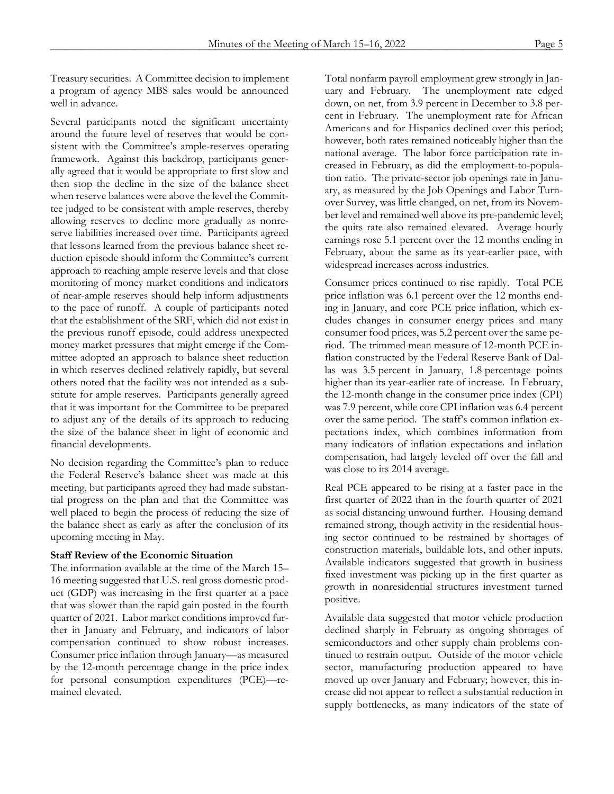Treasury securities. A Committee decision to implement a program of agency MBS sales would be announced well in advance.

Several participants noted the significant uncertainty around the future level of reserves that would be consistent with the Committee's ample-reserves operating framework. Against this backdrop, participants generally agreed that it would be appropriate to first slow and then stop the decline in the size of the balance sheet when reserve balances were above the level the Committee judged to be consistent with ample reserves, thereby allowing reserves to decline more gradually as nonreserve liabilities increased over time. Participants agreed that lessons learned from the previous balance sheet reduction episode should inform the Committee's current approach to reaching ample reserve levels and that close monitoring of money market conditions and indicators of near-ample reserves should help inform adjustments to the pace of runoff. A couple of participants noted that the establishment of the SRF, which did not exist in the previous runoff episode, could address unexpected money market pressures that might emerge if the Committee adopted an approach to balance sheet reduction in which reserves declined relatively rapidly, but several others noted that the facility was not intended as a substitute for ample reserves. Participants generally agreed that it was important for the Committee to be prepared to adjust any of the details of its approach to reducing the size of the balance sheet in light of economic and financial developments.

No decision regarding the Committee's plan to reduce the Federal Reserve's balance sheet was made at this meeting, but participants agreed they had made substantial progress on the plan and that the Committee was well placed to begin the process of reducing the size of the balance sheet as early as after the conclusion of its upcoming meeting in May.

## **Staff Review of the Economic Situation**

The information available at the time of the March 15– 16 meeting suggested that U.S. real gross domestic product (GDP) was increasing in the first quarter at a pace that was slower than the rapid gain posted in the fourth quarter of 2021. Labor market conditions improved further in January and February, and indicators of labor compensation continued to show robust increases. Consumer price inflation through January—as measured by the 12-month percentage change in the price index for personal consumption expenditures (PCE)—remained elevated.

Total nonfarm payroll employment grew strongly in January and February. The unemployment rate edged down, on net, from 3.9 percent in December to 3.8 percent in February. The unemployment rate for African Americans and for Hispanics declined over this period; however, both rates remained noticeably higher than the national average. The labor force participation rate increased in February, as did the employment-to-population ratio. The private-sector job openings rate in January, as measured by the Job Openings and Labor Turnover Survey, was little changed, on net, from its November level and remained well above its pre-pandemic level; the quits rate also remained elevated. Average hourly earnings rose 5.1 percent over the 12 months ending in February, about the same as its year-earlier pace, with widespread increases across industries.

Consumer prices continued to rise rapidly. Total PCE price inflation was 6.1 percent over the 12 months ending in January, and core PCE price inflation, which excludes changes in consumer energy prices and many consumer food prices, was 5.2 percent over the same period. The trimmed mean measure of 12-month PCE inflation constructed by the Federal Reserve Bank of Dallas was 3.5 percent in January, 1.8 percentage points higher than its year-earlier rate of increase. In February, the 12-month change in the consumer price index (CPI) was 7.9 percent, while core CPI inflation was 6.4 percent over the same period. The staff's common inflation expectations index, which combines information from many indicators of inflation expectations and inflation compensation, had largely leveled off over the fall and was close to its 2014 average.

Real PCE appeared to be rising at a faster pace in the first quarter of 2022 than in the fourth quarter of 2021 as social distancing unwound further. Housing demand remained strong, though activity in the residential housing sector continued to be restrained by shortages of construction materials, buildable lots, and other inputs. Available indicators suggested that growth in business fixed investment was picking up in the first quarter as growth in nonresidential structures investment turned positive.

Available data suggested that motor vehicle production declined sharply in February as ongoing shortages of semiconductors and other supply chain problems continued to restrain output. Outside of the motor vehicle sector, manufacturing production appeared to have moved up over January and February; however, this increase did not appear to reflect a substantial reduction in supply bottlenecks, as many indicators of the state of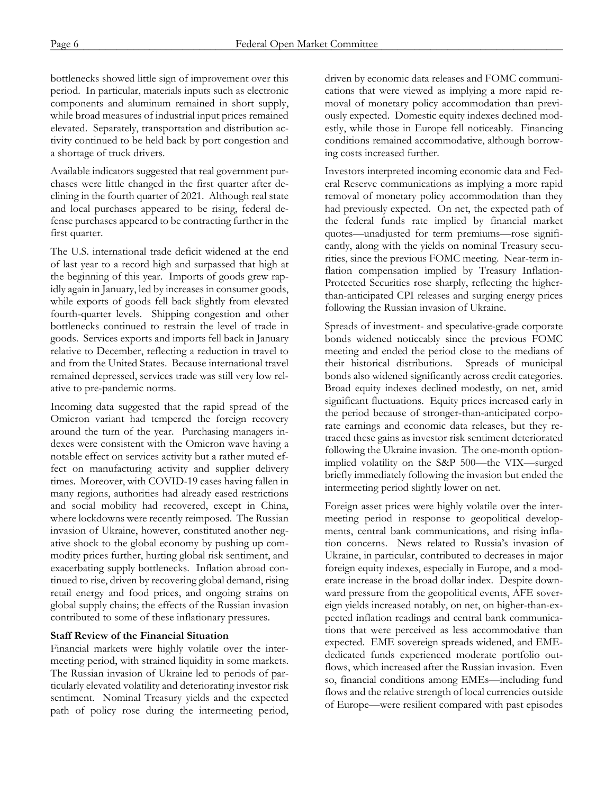bottlenecks showed little sign of improvement over this period. In particular, materials inputs such as electronic components and aluminum remained in short supply, while broad measures of industrial input prices remained elevated. Separately, transportation and distribution activity continued to be held back by port congestion and a shortage of truck drivers.

Available indicators suggested that real government purchases were little changed in the first quarter after declining in the fourth quarter of 2021. Although real state and local purchases appeared to be rising, federal defense purchases appeared to be contracting further in the first quarter.

The U.S. international trade deficit widened at the end of last year to a record high and surpassed that high at the beginning of this year. Imports of goods grew rapidly again in January, led by increases in consumer goods, while exports of goods fell back slightly from elevated fourth-quarter levels. Shipping congestion and other bottlenecks continued to restrain the level of trade in goods. Services exports and imports fell back in January relative to December, reflecting a reduction in travel to and from the United States. Because international travel remained depressed, services trade was still very low relative to pre-pandemic norms.

Incoming data suggested that the rapid spread of the Omicron variant had tempered the foreign recovery around the turn of the year. Purchasing managers indexes were consistent with the Omicron wave having a notable effect on services activity but a rather muted effect on manufacturing activity and supplier delivery times. Moreover, with COVID-19 cases having fallen in many regions, authorities had already eased restrictions and social mobility had recovered, except in China, where lockdowns were recently reimposed. The Russian invasion of Ukraine, however, constituted another negative shock to the global economy by pushing up commodity prices further, hurting global risk sentiment, and exacerbating supply bottlenecks. Inflation abroad continued to rise, driven by recovering global demand, rising retail energy and food prices, and ongoing strains on global supply chains; the effects of the Russian invasion contributed to some of these inflationary pressures.

#### **Staff Review of the Financial Situation**

Financial markets were highly volatile over the intermeeting period, with strained liquidity in some markets. The Russian invasion of Ukraine led to periods of particularly elevated volatility and deteriorating investor risk sentiment. Nominal Treasury yields and the expected path of policy rose during the intermeeting period,

driven by economic data releases and FOMC communications that were viewed as implying a more rapid removal of monetary policy accommodation than previously expected. Domestic equity indexes declined modestly, while those in Europe fell noticeably. Financing conditions remained accommodative, although borrowing costs increased further.

Investors interpreted incoming economic data and Federal Reserve communications as implying a more rapid removal of monetary policy accommodation than they had previously expected. On net, the expected path of the federal funds rate implied by financial market quotes—unadjusted for term premiums—rose significantly, along with the yields on nominal Treasury securities, since the previous FOMC meeting. Near-term inflation compensation implied by Treasury Inflation-Protected Securities rose sharply, reflecting the higherthan-anticipated CPI releases and surging energy prices following the Russian invasion of Ukraine.

Spreads of investment- and speculative-grade corporate bonds widened noticeably since the previous FOMC meeting and ended the period close to the medians of their historical distributions. Spreads of municipal bonds also widened significantly across credit categories. Broad equity indexes declined modestly, on net, amid significant fluctuations. Equity prices increased early in the period because of stronger-than-anticipated corporate earnings and economic data releases, but they retraced these gains as investor risk sentiment deteriorated following the Ukraine invasion. The one-month optionimplied volatility on the S&P 500—the VIX—surged briefly immediately following the invasion but ended the intermeeting period slightly lower on net.

Foreign asset prices were highly volatile over the intermeeting period in response to geopolitical developments, central bank communications, and rising inflation concerns. News related to Russia's invasion of Ukraine, in particular, contributed to decreases in major foreign equity indexes, especially in Europe, and a moderate increase in the broad dollar index. Despite downward pressure from the geopolitical events, AFE sovereign yields increased notably, on net, on higher-than-expected inflation readings and central bank communications that were perceived as less accommodative than expected. EME sovereign spreads widened, and EMEdedicated funds experienced moderate portfolio outflows, which increased after the Russian invasion. Even so, financial conditions among EMEs—including fund flows and the relative strength of local currencies outside of Europe—were resilient compared with past episodes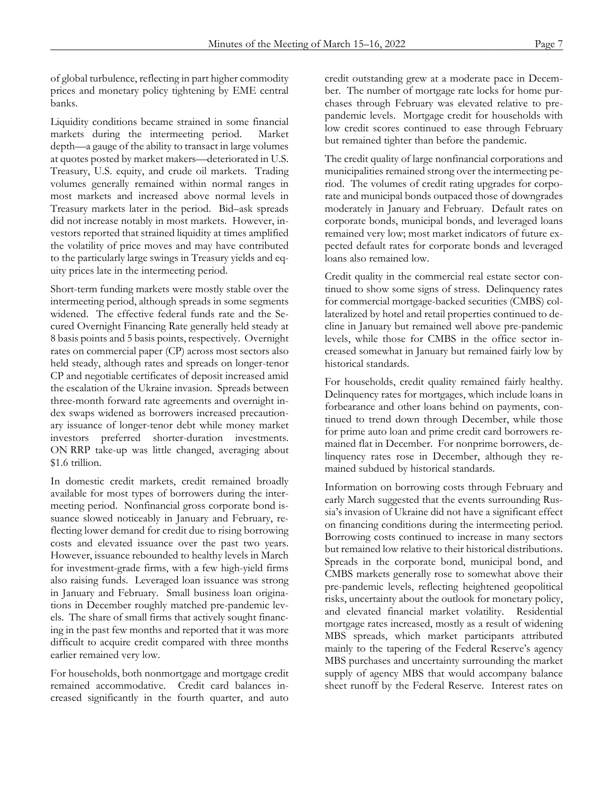of global turbulence, reflecting in part higher commodity prices and monetary policy tightening by EME central banks.

Liquidity conditions became strained in some financial markets during the intermeeting period. Market depth—a gauge of the ability to transact in large volumes at quotes posted by market makers—deteriorated in U.S. Treasury, U.S. equity, and crude oil markets. Trading volumes generally remained within normal ranges in most markets and increased above normal levels in Treasury markets later in the period. Bid–ask spreads did not increase notably in most markets. However, investors reported that strained liquidity at times amplified the volatility of price moves and may have contributed to the particularly large swings in Treasury yields and equity prices late in the intermeeting period.

Short-term funding markets were mostly stable over the intermeeting period, although spreads in some segments widened. The effective federal funds rate and the Secured Overnight Financing Rate generally held steady at 8 basis points and 5 basis points, respectively. Overnight rates on commercial paper (CP) across most sectors also held steady, although rates and spreads on longer-tenor CP and negotiable certificates of deposit increased amid the escalation of the Ukraine invasion. Spreads between three-month forward rate agreements and overnight index swaps widened as borrowers increased precautionary issuance of longer-tenor debt while money market investors preferred shorter-duration investments. ON RRP take-up was little changed, averaging about \$1.6 trillion.

In domestic credit markets, credit remained broadly available for most types of borrowers during the intermeeting period. Nonfinancial gross corporate bond issuance slowed noticeably in January and February, reflecting lower demand for credit due to rising borrowing costs and elevated issuance over the past two years. However, issuance rebounded to healthy levels in March for investment-grade firms, with a few high-yield firms also raising funds. Leveraged loan issuance was strong in January and February. Small business loan originations in December roughly matched pre-pandemic levels. The share of small firms that actively sought financing in the past few months and reported that it was more difficult to acquire credit compared with three months earlier remained very low.

For households, both nonmortgage and mortgage credit remained accommodative. Credit card balances increased significantly in the fourth quarter, and auto

credit outstanding grew at a moderate pace in December. The number of mortgage rate locks for home purchases through February was elevated relative to prepandemic levels. Mortgage credit for households with low credit scores continued to ease through February but remained tighter than before the pandemic.

The credit quality of large nonfinancial corporations and municipalities remained strong over the intermeeting period. The volumes of credit rating upgrades for corporate and municipal bonds outpaced those of downgrades moderately in January and February. Default rates on corporate bonds, municipal bonds, and leveraged loans remained very low; most market indicators of future expected default rates for corporate bonds and leveraged loans also remained low.

Credit quality in the commercial real estate sector continued to show some signs of stress. Delinquency rates for commercial mortgage-backed securities (CMBS) collateralized by hotel and retail properties continued to decline in January but remained well above pre-pandemic levels, while those for CMBS in the office sector increased somewhat in January but remained fairly low by historical standards.

For households, credit quality remained fairly healthy. Delinquency rates for mortgages, which include loans in forbearance and other loans behind on payments, continued to trend down through December, while those for prime auto loan and prime credit card borrowers remained flat in December. For nonprime borrowers, delinquency rates rose in December, although they remained subdued by historical standards.

Information on borrowing costs through February and early March suggested that the events surrounding Russia's invasion of Ukraine did not have a significant effect on financing conditions during the intermeeting period. Borrowing costs continued to increase in many sectors but remained low relative to their historical distributions. Spreads in the corporate bond, municipal bond, and CMBS markets generally rose to somewhat above their pre-pandemic levels, reflecting heightened geopolitical risks, uncertainty about the outlook for monetary policy, and elevated financial market volatility. Residential mortgage rates increased, mostly as a result of widening MBS spreads, which market participants attributed mainly to the tapering of the Federal Reserve's agency MBS purchases and uncertainty surrounding the market supply of agency MBS that would accompany balance sheet runoff by the Federal Reserve. Interest rates on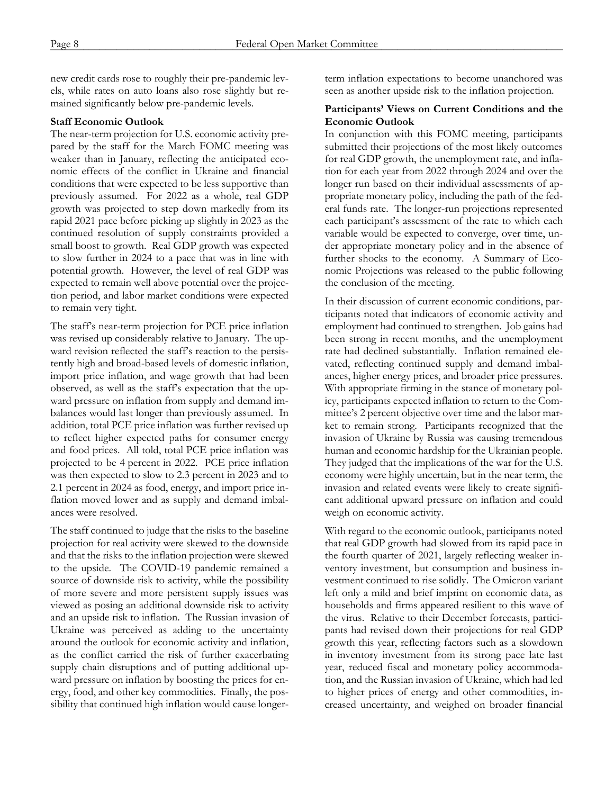new credit cards rose to roughly their pre-pandemic levels, while rates on auto loans also rose slightly but remained significantly below pre-pandemic levels.

## **Staff Economic Outlook**

The near-term projection for U.S. economic activity prepared by the staff for the March FOMC meeting was weaker than in January, reflecting the anticipated economic effects of the conflict in Ukraine and financial conditions that were expected to be less supportive than previously assumed. For 2022 as a whole, real GDP growth was projected to step down markedly from its rapid 2021 pace before picking up slightly in 2023 as the continued resolution of supply constraints provided a small boost to growth. Real GDP growth was expected to slow further in 2024 to a pace that was in line with potential growth. However, the level of real GDP was expected to remain well above potential over the projection period, and labor market conditions were expected to remain very tight.

The staff's near-term projection for PCE price inflation was revised up considerably relative to January. The upward revision reflected the staff's reaction to the persistently high and broad-based levels of domestic inflation, import price inflation, and wage growth that had been observed, as well as the staff's expectation that the upward pressure on inflation from supply and demand imbalances would last longer than previously assumed. In addition, total PCE price inflation was further revised up to reflect higher expected paths for consumer energy and food prices. All told, total PCE price inflation was projected to be 4 percent in 2022. PCE price inflation was then expected to slow to 2.3 percent in 2023 and to 2.1 percent in 2024 as food, energy, and import price inflation moved lower and as supply and demand imbalances were resolved.

The staff continued to judge that the risks to the baseline projection for real activity were skewed to the downside and that the risks to the inflation projection were skewed to the upside. The COVID-19 pandemic remained a source of downside risk to activity, while the possibility of more severe and more persistent supply issues was viewed as posing an additional downside risk to activity and an upside risk to inflation. The Russian invasion of Ukraine was perceived as adding to the uncertainty around the outlook for economic activity and inflation, as the conflict carried the risk of further exacerbating supply chain disruptions and of putting additional upward pressure on inflation by boosting the prices for energy, food, and other key commodities. Finally, the possibility that continued high inflation would cause longerterm inflation expectations to become unanchored was seen as another upside risk to the inflation projection.

### **Participants' Views on Current Conditions and the Economic Outlook**

In conjunction with this FOMC meeting, participants submitted their projections of the most likely outcomes for real GDP growth, the unemployment rate, and inflation for each year from 2022 through 2024 and over the longer run based on their individual assessments of appropriate monetary policy, including the path of the federal funds rate. The longer-run projections represented each participant's assessment of the rate to which each variable would be expected to converge, over time, under appropriate monetary policy and in the absence of further shocks to the economy. A Summary of Economic Projections was released to the public following the conclusion of the meeting.

In their discussion of current economic conditions, participants noted that indicators of economic activity and employment had continued to strengthen. Job gains had been strong in recent months, and the unemployment rate had declined substantially. Inflation remained elevated, reflecting continued supply and demand imbalances, higher energy prices, and broader price pressures. With appropriate firming in the stance of monetary policy, participants expected inflation to return to the Committee's 2 percent objective over time and the labor market to remain strong. Participants recognized that the invasion of Ukraine by Russia was causing tremendous human and economic hardship for the Ukrainian people. They judged that the implications of the war for the U.S. economy were highly uncertain, but in the near term, the invasion and related events were likely to create significant additional upward pressure on inflation and could weigh on economic activity.

With regard to the economic outlook, participants noted that real GDP growth had slowed from its rapid pace in the fourth quarter of 2021, largely reflecting weaker inventory investment, but consumption and business investment continued to rise solidly. The Omicron variant left only a mild and brief imprint on economic data, as households and firms appeared resilient to this wave of the virus. Relative to their December forecasts, participants had revised down their projections for real GDP growth this year, reflecting factors such as a slowdown in inventory investment from its strong pace late last year, reduced fiscal and monetary policy accommodation, and the Russian invasion of Ukraine, which had led to higher prices of energy and other commodities, increased uncertainty, and weighed on broader financial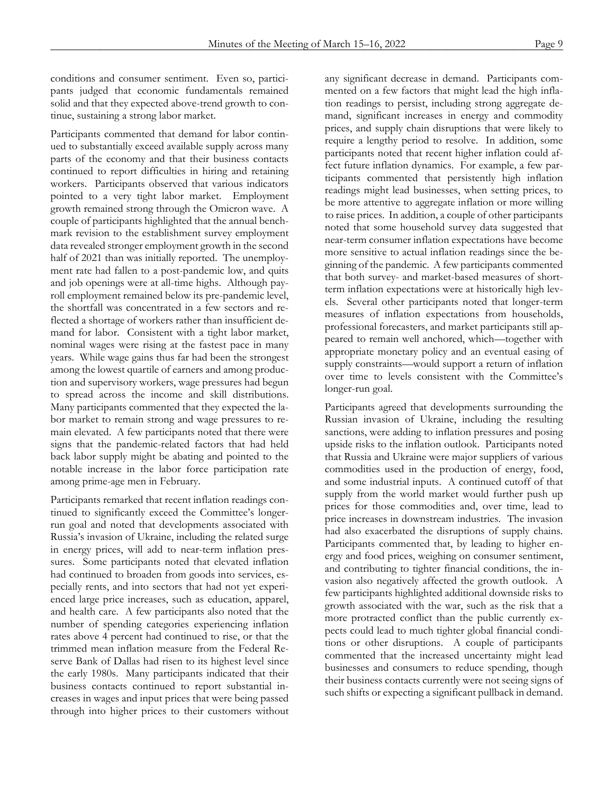conditions and consumer sentiment. Even so, participants judged that economic fundamentals remained solid and that they expected above-trend growth to continue, sustaining a strong labor market.

Participants commented that demand for labor continued to substantially exceed available supply across many parts of the economy and that their business contacts continued to report difficulties in hiring and retaining workers. Participants observed that various indicators pointed to a very tight labor market. Employment growth remained strong through the Omicron wave. A couple of participants highlighted that the annual benchmark revision to the establishment survey employment data revealed stronger employment growth in the second half of 2021 than was initially reported. The unemployment rate had fallen to a post-pandemic low, and quits and job openings were at all-time highs. Although payroll employment remained below its pre-pandemic level, the shortfall was concentrated in a few sectors and reflected a shortage of workers rather than insufficient demand for labor. Consistent with a tight labor market, nominal wages were rising at the fastest pace in many years. While wage gains thus far had been the strongest among the lowest quartile of earners and among production and supervisory workers, wage pressures had begun to spread across the income and skill distributions. Many participants commented that they expected the labor market to remain strong and wage pressures to remain elevated. A few participants noted that there were signs that the pandemic-related factors that had held back labor supply might be abating and pointed to the notable increase in the labor force participation rate among prime-age men in February.

Participants remarked that recent inflation readings continued to significantly exceed the Committee's longerrun goal and noted that developments associated with Russia's invasion of Ukraine, including the related surge in energy prices, will add to near-term inflation pressures. Some participants noted that elevated inflation had continued to broaden from goods into services, especially rents, and into sectors that had not yet experienced large price increases, such as education, apparel, and health care. A few participants also noted that the number of spending categories experiencing inflation rates above 4 percent had continued to rise, or that the trimmed mean inflation measure from the Federal Reserve Bank of Dallas had risen to its highest level since the early 1980s. Many participants indicated that their business contacts continued to report substantial increases in wages and input prices that were being passed through into higher prices to their customers without any significant decrease in demand. Participants commented on a few factors that might lead the high inflation readings to persist, including strong aggregate demand, significant increases in energy and commodity prices, and supply chain disruptions that were likely to require a lengthy period to resolve. In addition, some participants noted that recent higher inflation could affect future inflation dynamics. For example, a few participants commented that persistently high inflation readings might lead businesses, when setting prices, to be more attentive to aggregate inflation or more willing to raise prices. In addition, a couple of other participants noted that some household survey data suggested that near-term consumer inflation expectations have become more sensitive to actual inflation readings since the beginning of the pandemic. A few participants commented that both survey- and market-based measures of shortterm inflation expectations were at historically high levels. Several other participants noted that longer-term measures of inflation expectations from households, professional forecasters, and market participants still appeared to remain well anchored, which—together with appropriate monetary policy and an eventual easing of supply constraints—would support a return of inflation over time to levels consistent with the Committee's longer-run goal.

Participants agreed that developments surrounding the Russian invasion of Ukraine, including the resulting sanctions, were adding to inflation pressures and posing upside risks to the inflation outlook. Participants noted that Russia and Ukraine were major suppliers of various commodities used in the production of energy, food, and some industrial inputs. A continued cutoff of that supply from the world market would further push up prices for those commodities and, over time, lead to price increases in downstream industries. The invasion had also exacerbated the disruptions of supply chains. Participants commented that, by leading to higher energy and food prices, weighing on consumer sentiment, and contributing to tighter financial conditions, the invasion also negatively affected the growth outlook. A few participants highlighted additional downside risks to growth associated with the war, such as the risk that a more protracted conflict than the public currently expects could lead to much tighter global financial conditions or other disruptions. A couple of participants commented that the increased uncertainty might lead businesses and consumers to reduce spending, though their business contacts currently were not seeing signs of such shifts or expecting a significant pullback in demand.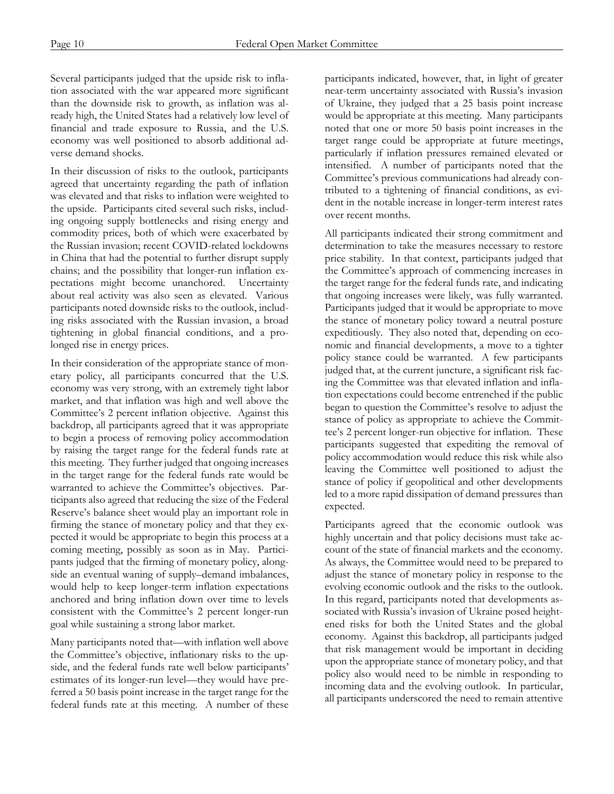Several participants judged that the upside risk to inflation associated with the war appeared more significant than the downside risk to growth, as inflation was already high, the United States had a relatively low level of financial and trade exposure to Russia, and the U.S. economy was well positioned to absorb additional adverse demand shocks.

In their discussion of risks to the outlook, participants agreed that uncertainty regarding the path of inflation was elevated and that risks to inflation were weighted to the upside. Participants cited several such risks, including ongoing supply bottlenecks and rising energy and commodity prices, both of which were exacerbated by the Russian invasion; recent COVID-related lockdowns in China that had the potential to further disrupt supply chains; and the possibility that longer-run inflation expectations might become unanchored. Uncertainty about real activity was also seen as elevated. Various participants noted downside risks to the outlook, including risks associated with the Russian invasion, a broad tightening in global financial conditions, and a prolonged rise in energy prices.

In their consideration of the appropriate stance of monetary policy, all participants concurred that the U.S. economy was very strong, with an extremely tight labor market, and that inflation was high and well above the Committee's 2 percent inflation objective. Against this backdrop, all participants agreed that it was appropriate to begin a process of removing policy accommodation by raising the target range for the federal funds rate at this meeting. They further judged that ongoing increases in the target range for the federal funds rate would be warranted to achieve the Committee's objectives. Participants also agreed that reducing the size of the Federal Reserve's balance sheet would play an important role in firming the stance of monetary policy and that they expected it would be appropriate to begin this process at a coming meeting, possibly as soon as in May. Participants judged that the firming of monetary policy, alongside an eventual waning of supply–demand imbalances, would help to keep longer-term inflation expectations anchored and bring inflation down over time to levels consistent with the Committee's 2 percent longer-run goal while sustaining a strong labor market.

Many participants noted that—with inflation well above the Committee's objective, inflationary risks to the upside, and the federal funds rate well below participants' estimates of its longer-run level—they would have preferred a 50 basis point increase in the target range for the federal funds rate at this meeting. A number of these

participants indicated, however, that, in light of greater near-term uncertainty associated with Russia's invasion of Ukraine, they judged that a 25 basis point increase would be appropriate at this meeting. Many participants noted that one or more 50 basis point increases in the target range could be appropriate at future meetings, particularly if inflation pressures remained elevated or intensified. A number of participants noted that the Committee's previous communications had already contributed to a tightening of financial conditions, as evident in the notable increase in longer-term interest rates over recent months.

All participants indicated their strong commitment and determination to take the measures necessary to restore price stability. In that context, participants judged that the Committee's approach of commencing increases in the target range for the federal funds rate, and indicating that ongoing increases were likely, was fully warranted. Participants judged that it would be appropriate to move the stance of monetary policy toward a neutral posture expeditiously. They also noted that, depending on economic and financial developments, a move to a tighter policy stance could be warranted. A few participants judged that, at the current juncture, a significant risk facing the Committee was that elevated inflation and inflation expectations could become entrenched if the public began to question the Committee's resolve to adjust the stance of policy as appropriate to achieve the Committee's 2 percent longer-run objective for inflation. These participants suggested that expediting the removal of policy accommodation would reduce this risk while also leaving the Committee well positioned to adjust the stance of policy if geopolitical and other developments led to a more rapid dissipation of demand pressures than expected.

Participants agreed that the economic outlook was highly uncertain and that policy decisions must take account of the state of financial markets and the economy. As always, the Committee would need to be prepared to adjust the stance of monetary policy in response to the evolving economic outlook and the risks to the outlook. In this regard, participants noted that developments associated with Russia's invasion of Ukraine posed heightened risks for both the United States and the global economy. Against this backdrop, all participants judged that risk management would be important in deciding upon the appropriate stance of monetary policy, and that policy also would need to be nimble in responding to incoming data and the evolving outlook. In particular, all participants underscored the need to remain attentive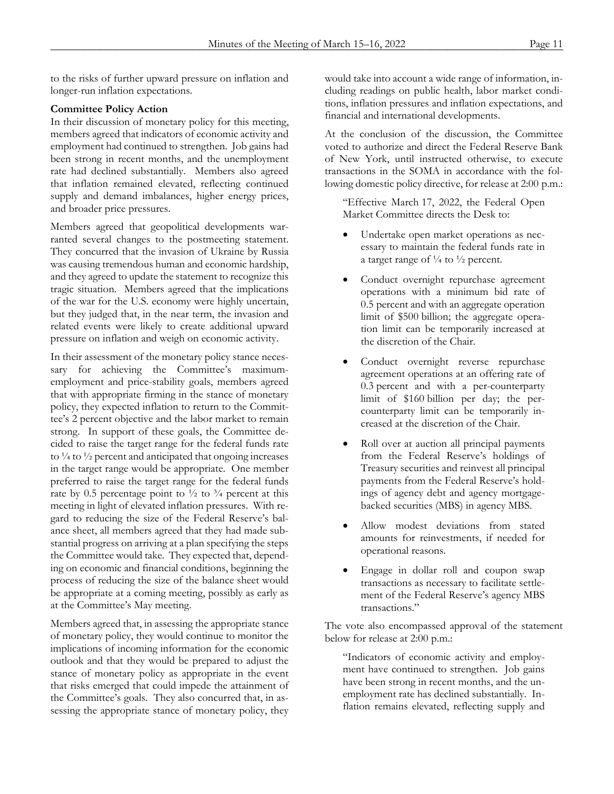to the risks of further upward pressure on inflation and longer-run inflation expectations.

### **Committee Policy Action**

In their discussion of monetary policy for this meeting, members agreed that indicators of economic activity and employment had continued to strengthen. Job gains had been strong in recent months, and the unemployment rate had declined substantially. Members also agreed that inflation remained elevated, reflecting continued supply and demand imbalances, higher energy prices, and broader price pressures.

Members agreed that geopolitical developments warranted several changes to the postmeeting statement. They concurred that the invasion of Ukraine by Russia was causing tremendous human and economic hardship, and they agreed to update the statement to recognize this tragic situation. Members agreed that the implications of the war for the U.S. economy were highly uncertain, but they judged that, in the near term, the invasion and related events were likely to create additional upward pressure on inflation and weigh on economic activity.

In their assessment of the monetary policy stance necessary for achieving the Committee's maximumemployment and price-stability goals, members agreed that with appropriate firming in the stance of monetary policy, they expected inflation to return to the Committee's 2 percent objective and the labor market to remain strong. In support of these goals, the Committee decided to raise the target range for the federal funds rate to  $\frac{1}{4}$  to  $\frac{1}{2}$  percent and anticipated that ongoing increases in the target range would be appropriate. One member preferred to raise the target range for the federal funds rate by 0.5 percentage point to  $\frac{1}{2}$  to  $\frac{3}{4}$  percent at this meeting in light of elevated inflation pressures. With regard to reducing the size of the Federal Reserve's balance sheet, all members agreed that they had made substantial progress on arriving at a plan specifying the steps the Committee would take. They expected that, depending on economic and financial conditions, beginning the process of reducing the size of the balance sheet would be appropriate at a coming meeting, possibly as early as at the Committee's May meeting.

Members agreed that, in assessing the appropriate stance of monetary policy, they would continue to monitor the implications of incoming information for the economic outlook and that they would be prepared to adjust the stance of monetary policy as appropriate in the event that risks emerged that could impede the attainment of the Committee's goals. They also concurred that, in assessing the appropriate stance of monetary policy, they would take into account a wide range of information, including readings on public health, labor market conditions, inflation pressures and inflation expectations, and financial and international developments.

At the conclusion of the discussion, the Committee voted to authorize and direct the Federal Reserve Bank of New York, until instructed otherwise, to execute transactions in the SOMA in accordance with the following domestic policy directive, for release at 2:00 p.m.:

"Effective March 17, 2022, the Federal Open Market Committee directs the Desk to:

- Undertake open market operations as necessary to maintain the federal funds rate in a target range of  $\frac{1}{4}$  to  $\frac{1}{2}$  percent.
- Conduct overnight repurchase agreement operations with a minimum bid rate of 0.5 percent and with an aggregate operation limit of \$500 billion; the aggregate operation limit can be temporarily increased at the discretion of the Chair.
- Conduct overnight reverse repurchase agreement operations at an offering rate of 0.3 percent and with a per-counterparty limit of \$160 billion per day; the percounterparty limit can be temporarily increased at the discretion of the Chair.
- Roll over at auction all principal payments from the Federal Reserve's holdings of Treasury securities and reinvest all principal payments from the Federal Reserve's holdings of agency debt and agency mortgagebacked securities (MBS) in agency MBS.
- Allow modest deviations from stated amounts for reinvestments, if needed for operational reasons.
- Engage in dollar roll and coupon swap transactions as necessary to facilitate settlement of the Federal Reserve's agency MBS transactions."

The vote also encompassed approval of the statement below for release at 2:00 p.m.:

"Indicators of economic activity and employment have continued to strengthen. Job gains have been strong in recent months, and the unemployment rate has declined substantially. Inflation remains elevated, reflecting supply and